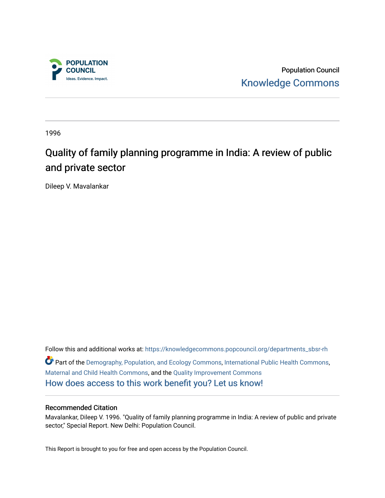

Population Council [Knowledge Commons](https://knowledgecommons.popcouncil.org/) 

1996

# Quality of family planning programme in India: A review of public and private sector

Dileep V. Mavalankar

Follow this and additional works at: [https://knowledgecommons.popcouncil.org/departments\\_sbsr-rh](https://knowledgecommons.popcouncil.org/departments_sbsr-rh?utm_source=knowledgecommons.popcouncil.org%2Fdepartments_sbsr-rh%2F2028&utm_medium=PDF&utm_campaign=PDFCoverPages)  Part of the [Demography, Population, and Ecology Commons,](https://network.bepress.com/hgg/discipline/418?utm_source=knowledgecommons.popcouncil.org%2Fdepartments_sbsr-rh%2F2028&utm_medium=PDF&utm_campaign=PDFCoverPages) [International Public Health Commons](https://network.bepress.com/hgg/discipline/746?utm_source=knowledgecommons.popcouncil.org%2Fdepartments_sbsr-rh%2F2028&utm_medium=PDF&utm_campaign=PDFCoverPages), [Maternal and Child Health Commons,](https://network.bepress.com/hgg/discipline/745?utm_source=knowledgecommons.popcouncil.org%2Fdepartments_sbsr-rh%2F2028&utm_medium=PDF&utm_campaign=PDFCoverPages) and the [Quality Improvement Commons](https://network.bepress.com/hgg/discipline/1430?utm_source=knowledgecommons.popcouncil.org%2Fdepartments_sbsr-rh%2F2028&utm_medium=PDF&utm_campaign=PDFCoverPages) [How does access to this work benefit you? Let us know!](https://pcouncil.wufoo.com/forms/open-access-to-population-council-research/)

#### Recommended Citation

Mavalankar, Dileep V. 1996. "Quality of family planning programme in India: A review of public and private sector," Special Report. New Delhi: Population Council.

This Report is brought to you for free and open access by the Population Council.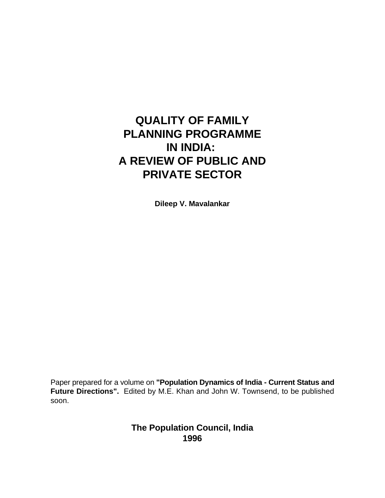# **QUALITY OF FAMILY PLANNING PROGRAMME IN INDIA: A REVIEW OF PUBLIC AND PRIVATE SECTOR**

**Dileep V. Mavalankar**

Paper prepared for a volume on **"Population Dynamics of India - Current Status and Future Directions".** Edited by M.E. Khan and John W. Townsend, to be published soon.

> **The Population Council, India 1996**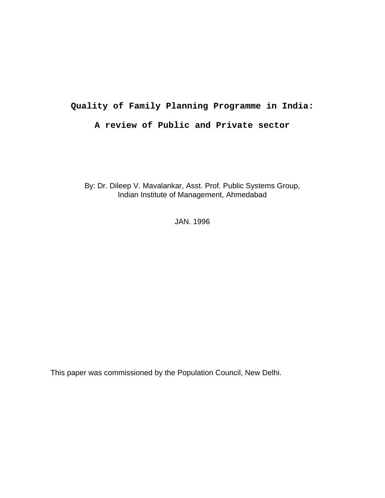## **Quality of Family Planning Programme in India:**

## **A review of Public and Private sector**

By: Dr. Dileep V. Mavalankar, Asst. Prof. Public Systems Group, Indian Institute of Management, Ahmedabad

JAN. 1996

This paper was commissioned by the Population Council, New Delhi.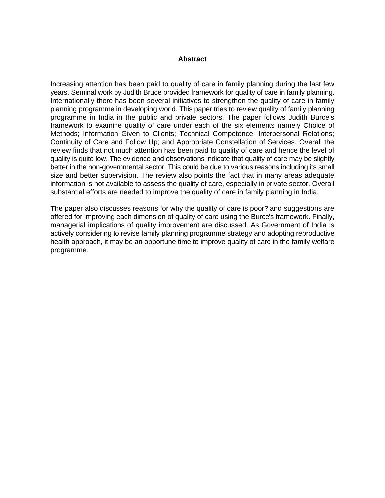#### **Abstract**

Increasing attention has been paid to quality of care in family planning during the last few years. Seminal work by Judith Bruce provided framework for quality of care in family planning. Internationally there has been several initiatives to strengthen the quality of care in family planning programme in developing world. This paper tries to review quality of family planning programme in India in the public and private sectors. The paper follows Judith Burce's framework to examine quality of care under each of the six elements namely Choice of Methods; Information Given to Clients; Technical Competence; Interpersonal Relations; Continuity of Care and Follow Up; and Appropriate Constellation of Services. Overall the review finds that not much attention has been paid to quality of care and hence the level of quality is quite low. The evidence and observations indicate that quality of care may be slightly better in the non-governmental sector. This could be due to various reasons including its small size and better supervision. The review also points the fact that in many areas adequate information is not available to assess the quality of care, especially in private sector. Overall substantial efforts are needed to improve the quality of care in family planning in India.

The paper also discusses reasons for why the quality of care is poor? and suggestions are offered for improving each dimension of quality of care using the Burce's framework. Finally, managerial implications of quality improvement are discussed. As Government of India is actively considering to revise family planning programme strategy and adopting reproductive health approach, it may be an opportune time to improve quality of care in the family welfare programme.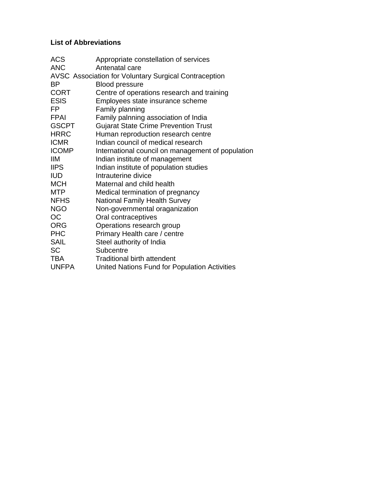# **List of Abbreviations**

| <b>ACS</b><br><b>ANC</b> | Appropriate constellation of services<br>Antenatal care |
|--------------------------|---------------------------------------------------------|
|                          | AVSC Association for Voluntary Surgical Contraception   |
| ВP                       | <b>Blood pressure</b>                                   |
| <b>CORT</b>              | Centre of operations research and training              |
| <b>ESIS</b>              | Employees state insurance scheme                        |
| FP                       | Family planning                                         |
| <b>FPAI</b>              | Family palnning association of India                    |
| <b>GSCPT</b>             | <b>Gujarat State Crime Prevention Trust</b>             |
| <b>HRRC</b>              | Human reproduction research centre                      |
| <b>ICMR</b>              | Indian council of medical research                      |
| <b>ICOMP</b>             | International council on management of population       |
| ШM                       | Indian institute of management                          |
| <b>IIPS</b>              | Indian institute of population studies                  |
| <b>IUD</b>               | Intrauterine divice                                     |
| <b>MCH</b>               | Maternal and child health                               |
| <b>MTP</b>               | Medical termination of pregnancy                        |
| <b>NFHS</b>              | <b>National Family Health Survey</b>                    |
| <b>NGO</b>               | Non-governmental oraganization                          |
| OС                       | Oral contraceptives                                     |
| <b>ORG</b>               | Operations research group                               |
| <b>PHC</b>               | Primary Health care / centre                            |
| <b>SAIL</b>              | Steel authority of India                                |
| <b>SC</b>                | Subcentre                                               |
| <b>TBA</b>               | <b>Traditional birth attendent</b>                      |
| <b>UNFPA</b>             | United Nations Fund for Population Activities           |
|                          |                                                         |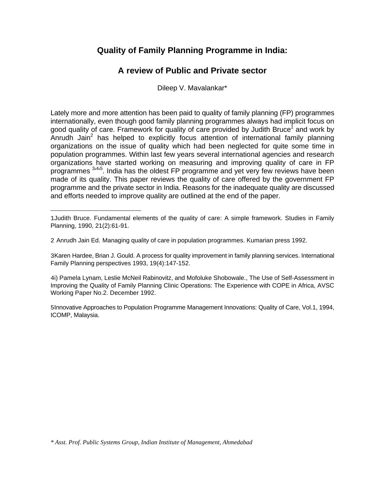# **Quality of Family Planning Programme in India:**

# **A review of Public and Private sector**

Dileep V. Mavalankar\*

Lately more and more attention has been paid to quality of family planning (FP) programmes internationally, even though good family planning programmes always had implicit focus on good quality of care. Framework for quality of care provided by Judith Bruce<sup>1</sup> and work by Anrudh Jain<sup>2</sup> has helped to explicitly focus attention of international family planning organizations on the issue of quality which had been neglected for quite some time in population programmes. Within last few years several international agencies and research organizations have started working on measuring and improving quality of care in FP programmes <sup>3,4,5</sup>. India has the oldest FP programme and yet very few reviews have been made of its quality. This paper reviews the quality of care offered by the government FP programme and the private sector in India. Reasons for the inadequate quality are discussed and efforts needed to improve quality are outlined at the end of the paper.

i

3Karen Hardee, Brian J. Gould. A process for quality improvement in family planning services. International Family Planning perspectives 1993, 19(4):147-152.

4i) Pamela Lynam, Leslie McNeil Rabinovitz, and Mofoluke Shobowale., The Use of Self-Assessment in Improving the Quality of Family Planning Clinic Operations: The Experience with COPE in Africa, AVSC Working Paper No.2. December 1992.

5Innovative Approaches to Population Programme Management Innovations: Quality of Care, Vol.1, 1994, ICOMP, Malaysia.

<sup>1</sup>Judith Bruce. Fundamental elements of the quality of care: A simple framework. Studies in Family Planning, 1990, 21(2):61-91.

<sup>2</sup> Anrudh Jain Ed. Managing quality of care in population programmes. Kumarian press 1992.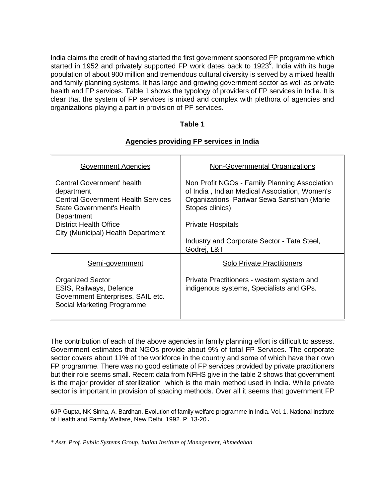India claims the credit of having started the first government sponsored FP programme which started in 1952 and privately supported FP work dates back to 1923<sup>6</sup>. India with its huge population of about 900 million and tremendous cultural diversity is served by a mixed health and family planning systems. It has large and growing government sector as well as private health and FP services. Table 1 shows the typology of providers of FP services in India. It is clear that the system of FP services is mixed and complex with plethora of agencies and organizations playing a part in provision of PF services.

#### **Table 1**

#### **Agencies providing FP services in India**

| <b>Government Agencies</b>                                                                                                              | <b>Non-Governmental Organizations</b>                                                                                                                            |  |  |  |  |
|-----------------------------------------------------------------------------------------------------------------------------------------|------------------------------------------------------------------------------------------------------------------------------------------------------------------|--|--|--|--|
| Central Government' health<br>department<br><b>Central Government Health Services</b><br><b>State Government's Health</b><br>Department | Non Profit NGOs - Family Planning Association<br>of India, Indian Medical Association, Women's<br>Organizations, Pariwar Sewa Sansthan (Marie<br>Stopes clinics) |  |  |  |  |
| <b>District Health Office</b>                                                                                                           | <b>Private Hospitals</b>                                                                                                                                         |  |  |  |  |
| City (Municipal) Health Department                                                                                                      |                                                                                                                                                                  |  |  |  |  |
|                                                                                                                                         | Industry and Corporate Sector - Tata Steel,<br>Godrej, L&T                                                                                                       |  |  |  |  |
| Semi-government                                                                                                                         | <b>Solo Private Practitioners</b>                                                                                                                                |  |  |  |  |
| <b>Organized Sector</b><br>ESIS, Railways, Defence<br>Government Enterprises, SAIL etc.<br>Social Marketing Programme                   | Private Practitioners - western system and<br>indigenous systems, Specialists and GPs.                                                                           |  |  |  |  |

The contribution of each of the above agencies in family planning effort is difficult to assess. Government estimates that NGOs provide about 9% of total FP Services. The corporate sector covers about 11% of the workforce in the country and some of which have their own FP programme. There was no good estimate of FP services provided by private practitioners but their role seems small. Recent data from NFHS give in the table 2 shows that government is the major provider of sterilization which is the main method used in India. While private sector is important in provision of spacing methods. Over all it seems that government FP

i

<sup>6</sup>JP Gupta, NK Sinha, A. Bardhan. Evolution of family welfare programme in India. Vol. 1. National Institute of Health and Family Welfare, New Delhi. 1992. P. 13-20.

*<sup>\*</sup> Asst. Prof. Public Systems Group, Indian Institute of Management, Ahmedabad*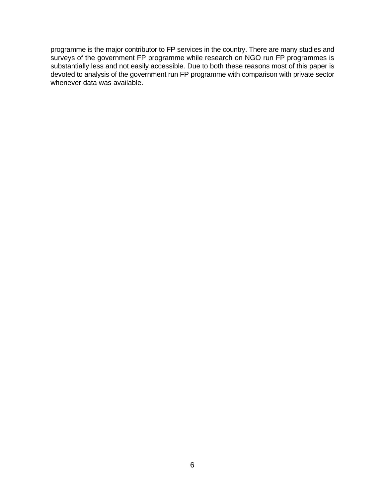programme is the major contributor to FP services in the country. There are many studies and surveys of the government FP programme while research on NGO run FP programmes is substantially less and not easily accessible. Due to both these reasons most of this paper is devoted to analysis of the government run FP programme with comparison with private sector whenever data was available.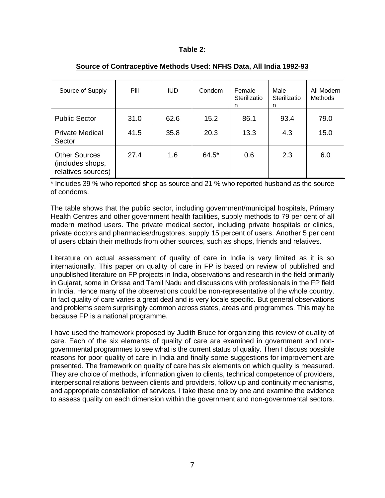#### **Table 2:**

| Source of Supply                                               | Pill | <b>IUD</b> | Condom | Female<br>Sterilizatio<br>n | Male<br>Sterilizatio<br>n | All Modern<br><b>Methods</b> |  |
|----------------------------------------------------------------|------|------------|--------|-----------------------------|---------------------------|------------------------------|--|
| <b>Public Sector</b>                                           | 31.0 | 62.6       | 15.2   | 86.1                        | 93.4                      | 79.0                         |  |
| <b>Private Medical</b><br>Sector                               | 41.5 | 35.8       | 20.3   | 13.3                        | 4.3                       | 15.0                         |  |
| <b>Other Sources</b><br>(includes shops,<br>relatives sources) | 27.4 | 1.6        | 64.5*  | 0.6                         | 2.3                       | 6.0                          |  |

#### **Source of Contraceptive Methods Used: NFHS Data, All India 1992-93**

\* Includes 39 % who reported shop as source and 21 % who reported husband as the source of condoms.

The table shows that the public sector, including government/municipal hospitals, Primary Health Centres and other government health facilities, supply methods to 79 per cent of all modern method users. The private medical sector, including private hospitals or clinics, private doctors and pharmacies/drugstores, supply 15 percent of users. Another 5 per cent of users obtain their methods from other sources, such as shops, friends and relatives.

Literature on actual assessment of quality of care in India is very limited as it is so internationally. This paper on quality of care in FP is based on review of published and unpublished literature on FP projects in India, observations and research in the field primarily in Gujarat, some in Orissa and Tamil Nadu and discussions with professionals in the FP field in India. Hence many of the observations could be non-representative of the whole country. In fact quality of care varies a great deal and is very locale specific. But general observations and problems seem surprisingly common across states, areas and programmes. This may be because FP is a national programme.

I have used the framework proposed by Judith Bruce for organizing this review of quality of care. Each of the six elements of quality of care are examined in government and nongovernmental programmes to see what is the current status of quality. Then I discuss possible reasons for poor quality of care in India and finally some suggestions for improvement are presented. The framework on quality of care has six elements on which quality is measured. They are choice of methods, information given to clients, technical competence of providers, interpersonal relations between clients and providers, follow up and continuity mechanisms, and appropriate constellation of services. I take these one by one and examine the evidence to assess quality on each dimension within the government and non-governmental sectors.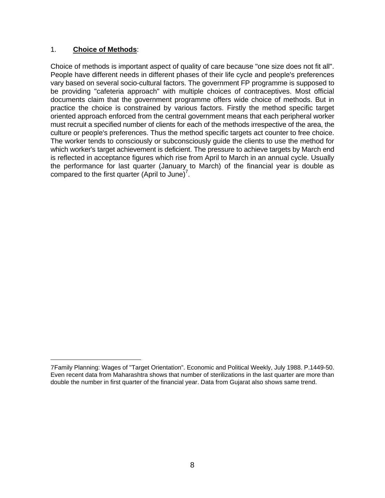## 1. **Choice of Methods**:

Choice of methods is important aspect of quality of care because "one size does not fit all". People have different needs in different phases of their life cycle and people's preferences vary based on several socio-cultural factors. The government FP programme is supposed to be providing "cafeteria approach" with multiple choices of contraceptives. Most official documents claim that the government programme offers wide choice of methods. But in practice the choice is constrained by various factors. Firstly the method specific target oriented approach enforced from the central government means that each peripheral worker must recruit a specified number of clients for each of the methods irrespective of the area, the culture or people's preferences. Thus the method specific targets act counter to free choice. The worker tends to consciously or subconsciously guide the clients to use the method for which worker's target achievement is deficient. The pressure to achieve targets by March end is reflected in acceptance figures which rise from April to March in an annual cycle. Usually the performance for last quarter (January to March) of the financial year is double as compared to the first quarter (April to June)<sup>7</sup>.

<sup>7</sup>Family Planning: Wages of "Target Orientation". Economic and Political Weekly, July 1988. P.1449-50. Even recent data from Maharashtra shows that number of sterilizations in the last quarter are more than double the number in first quarter of the financial year. Data from Gujarat also shows same trend.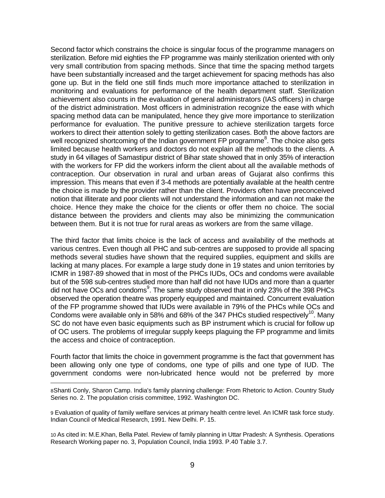Second factor which constrains the choice is singular focus of the programme managers on sterilization. Before mid eighties the FP programme was mainly sterilization oriented with only very small contribution from spacing methods. Since that time the spacing method targets have been substantially increased and the target achievement for spacing methods has also gone up. But in the field one still finds much more importance attached to sterilization in monitoring and evaluations for performance of the health department staff. Sterilization achievement also counts in the evaluation of general administrators (IAS officers) in charge of the district administration. Most officers in administration recognize the ease with which spacing method data can be manipulated, hence they give more importance to sterilization performance for evaluation. The punitive pressure to achieve sterilization targets force workers to direct their attention solely to getting sterilization cases. Both the above factors are well recognized shortcoming of the Indian government FP programme<sup>8</sup>. The choice also gets limited because health workers and doctors do not explain all the methods to the clients. A study in 64 villages of Samastipur district of Bihar state showed that in only 35% of interaction with the workers for FP did the workers inform the client about all the available methods of contraception. Our observation in rural and urban areas of Gujarat also confirms this impression. This means that even if 3-4 methods are potentially available at the health centre the choice is made by the provider rather than the client. Providers often have preconceived notion that illiterate and poor clients will not understand the information and can not make the choice. Hence they make the choice for the clients or offer them no choice. The social distance between the providers and clients may also be minimizing the communication between them. But it is not true for rural areas as workers are from the same village.

The third factor that limits choice is the lack of access and availability of the methods at various centres. Even though all PHC and sub-centres are supposed to provide all spacing methods several studies have shown that the required supplies, equipment and skills are lacking at many places. For example a large study done in 19 states and union territories by ICMR in 1987-89 showed that in most of the PHCs IUDs, OCs and condoms were available but of the 598 sub-centres studied more than half did not have IUDs and more than a quarter did not have OCs and condoms<sup>9</sup>. The same study observed that in only 23% of the 398 PHCs observed the operation theatre was properly equipped and maintained. Concurrent evaluation of the FP programme showed that IUDs were available in 79% of the PHCs while OCs and Condoms were available only in 58% and 68% of the 347 PHCs studied respectively<sup>10</sup>. Many SC do not have even basic equipments such as BP instrument which is crucial for follow up of OC users. The problems of irregular supply keeps plaguing the FP programme and limits the access and choice of contraception.

Fourth factor that limits the choice in government programme is the fact that government has been allowing only one type of condoms, one type of pills and one type of IUD. The government condoms were non-lubricated hence would not be preferred by more

<sup>8</sup>Shanti Conly, Sharon Camp. India's family planning challenge: From Rhetoric to Action. Country Study Series no. 2. The population crisis committee, 1992. Washington DC.

<sup>9</sup> Evaluation of quality of family welfare services at primary health centre level. An ICMR task force study. Indian Council of Medical Research, 1991. New Delhi. P. 15.

<sup>10</sup> As cited in: M.E.Khan, Bella Patel. Review of family planning in Uttar Pradesh: A Synthesis. Operations Research Working paper no. 3, Population Council, India 1993. P.40 Table 3.7.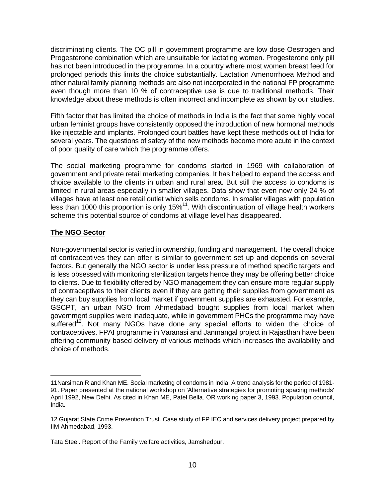discriminating clients. The OC pill in government programme are low dose Oestrogen and Progesterone combination which are unsuitable for lactating women. Progesterone only pill has not been introduced in the programme. In a country where most women breast feed for prolonged periods this limits the choice substantially. Lactation Amenorrhoea Method and other natural family planning methods are also not incorporated in the national FP programme even though more than 10 % of contraceptive use is due to traditional methods. Their knowledge about these methods is often incorrect and incomplete as shown by our studies.

Fifth factor that has limited the choice of methods in India is the fact that some highly vocal urban feminist groups have consistently opposed the introduction of new hormonal methods like injectable and implants. Prolonged court battles have kept these methods out of India for several years. The questions of safety of the new methods become more acute in the context of poor quality of care which the programme offers.

The social marketing programme for condoms started in 1969 with collaboration of government and private retail marketing companies. It has helped to expand the access and choice available to the clients in urban and rural area. But still the access to condoms is limited in rural areas especially in smaller villages. Data show that even now only 24 % of villages have at least one retail outlet which sells condoms. In smaller villages with population less than 1000 this proportion is only  $15\%^{11}$ . With discontinuation of village health workers scheme this potential source of condoms at village level has disappeared.

## **The NGO Sector**

i

Non-governmental sector is varied in ownership, funding and management. The overall choice of contraceptives they can offer is similar to government set up and depends on several factors. But generally the NGO sector is under less pressure of method specific targets and is less obsessed with monitoring sterilization targets hence they may be offering better choice to clients. Due to flexibility offered by NGO management they can ensure more regular supply of contraceptives to their clients even if they are getting their supplies from government as they can buy supplies from local market if government supplies are exhausted. For example, GSCPT, an urban NGO from Ahmedabad bought supplies from local market when government supplies were inadequate, while in government PHCs the programme may have suffered<sup>12</sup>. Not many NGOs have done any special efforts to widen the choice of contraceptives. FPAI programme in Varanasi and Janmangal project in Rajasthan have been offering community based delivery of various methods which increases the availability and choice of methods.

<sup>11</sup>Narsiman R and Khan ME. Social marketing of condoms in India. A trend analysis for the period of 1981- 91. Paper presented at the national workshop on 'Alternative strategies for promoting spacing methods' April 1992, New Delhi. As cited in Khan ME, Patel Bella. OR working paper 3, 1993. Population council, India.

<sup>12</sup> Gujarat State Crime Prevention Trust. Case study of FP IEC and services delivery project prepared by IIM Ahmedabad, 1993.

Tata Steel. Report of the Family welfare activities, Jamshedpur.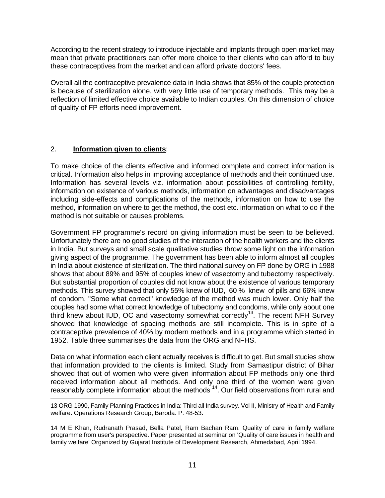According to the recent strategy to introduce injectable and implants through open market may mean that private practitioners can offer more choice to their clients who can afford to buy these contraceptives from the market and can afford private doctors' fees.

Overall all the contraceptive prevalence data in India shows that 85% of the couple protection is because of sterilization alone, with very little use of temporary methods. This may be a reflection of limited effective choice available to Indian couples. On this dimension of choice of quality of FP efforts need improvement.

## 2. **Information given to clients**:

To make choice of the clients effective and informed complete and correct information is critical. Information also helps in improving acceptance of methods and their continued use. Information has several levels viz. information about possibilities of controlling fertility, information on existence of various methods, information on advantages and disadvantages including side-effects and complications of the methods, information on how to use the method, information on where to get the method, the cost etc. information on what to do if the method is not suitable or causes problems.

Government FP programme's record on giving information must be seen to be believed. Unfortunately there are no good studies of the interaction of the health workers and the clients in India. But surveys and small scale qualitative studies throw some light on the information giving aspect of the programme. The government has been able to inform almost all couples in India about existence of sterilization. The third national survey on FP done by ORG in 1988 shows that about 89% and 95% of couples knew of vasectomy and tubectomy respectively. But substantial proportion of couples did not know about the existence of various temporary methods. This survey showed that only 55% knew of IUD, 60 % knew of pills and 66% knew of condom. "Some what correct" knowledge of the method was much lower. Only half the couples had some what correct knowledge of tubectomy and condoms, while only about one third knew about IUD, OC and vasectomy somewhat correctly<sup>13</sup>. The recent NFH Survey showed that knowledge of spacing methods are still incomplete. This is in spite of a contraceptive prevalence of 40% by modern methods and in a programme which started in 1952. Table three summarises the data from the ORG and NFHS.

Data on what information each client actually receives is difficult to get. But small studies show that information provided to the clients is limited. Study from Samastipur district of Bihar showed that out of women who were given information about FP methods only one third received information about all methods. And only one third of the women were given reasonably complete information about the methods<sup>14</sup>. Our field observations from rural and i

<sup>13</sup> ORG 1990, Family Planning Practices in India: Third all India survey. Vol II, Ministry of Health and Family welfare. Operations Research Group, Baroda. P. 48-53.

<sup>14</sup> M E Khan, Rudranath Prasad, Bella Patel, Ram Bachan Ram. Quality of care in family welfare programme from user's perspective. Paper presented at seminar on 'Quality of care issues in health and family welfare' Organized by Gujarat Institute of Development Research, Ahmedabad, April 1994.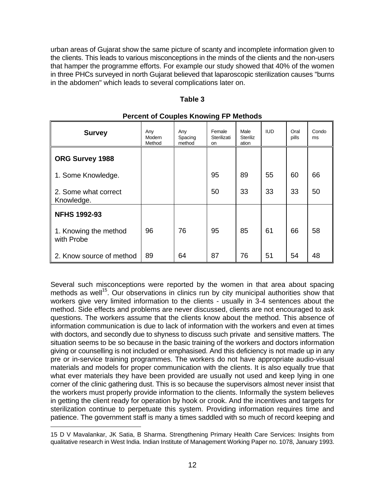urban areas of Gujarat show the same picture of scanty and incomplete information given to the clients. This leads to various misconceptions in the minds of the clients and the non-users that hamper the programme efforts. For example our study showed that 40% of the women in three PHCs surveyed in north Gujarat believed that laparoscopic sterilization causes "burns in the abdomen" which leads to several complications later on.

#### **Table 3**

| <b>Survey</b>                       | Any<br>Modern<br>Method | Any<br>Spacing<br>method | ັ<br>Female<br>Sterilizati<br><b>on</b> | Male<br><b>Steriliz</b><br>ation | <b>IUD</b> | Oral<br>pills | Condo<br>ms |
|-------------------------------------|-------------------------|--------------------------|-----------------------------------------|----------------------------------|------------|---------------|-------------|
| ORG Survey 1988                     |                         |                          |                                         |                                  |            |               |             |
| 1. Some Knowledge.                  |                         |                          | 95                                      | 89                               | 55         | 60            | 66          |
| 2. Some what correct<br>Knowledge.  |                         |                          | 50                                      | 33                               | 33         | 33            | 50          |
| <b>NFHS 1992-93</b>                 |                         |                          |                                         |                                  |            |               |             |
| 1. Knowing the method<br>with Probe | 96                      | 76                       | 95                                      | 85                               | 61         | 66            | 58          |
| 2. Know source of method            | 89                      | 64                       | 87                                      | 76                               | 51         | 54            | 48          |

#### **Percent of Couples Knowing FP Methods**

Several such misconceptions were reported by the women in that area about spacing methods as well<sup>15</sup>. Our observations in clinics run by city municipal authorities show that workers give very limited information to the clients - usually in 3-4 sentences about the method. Side effects and problems are never discussed, clients are not encouraged to ask questions. The workers assume that the clients know about the method. This absence of information communication is due to lack of information with the workers and even at times with doctors, and secondly due to shyness to discuss such private and sensitive matters. The situation seems to be so because in the basic training of the workers and doctors information giving or counselling is not included or emphasised. And this deficiency is not made up in any pre or in-service training programmes. The workers do not have appropriate audio-visual materials and models for proper communication with the clients. It is also equally true that what ever materials they have been provided are usually not used and keep lying in one corner of the clinic gathering dust. This is so because the supervisors almost never insist that the workers must properly provide information to the clients. Informally the system believes in getting the client ready for operation by hook or crook. And the incentives and targets for sterilization continue to perpetuate this system. Providing information requires time and patience. The government staff is many a times saddled with so much of record keeping and

 15 D V Mavalankar, JK Satia, B Sharma. Strengthening Primary Health Care Services: Insights from qualitative research in West India. Indian Institute of Management Working Paper no. 1078, January 1993.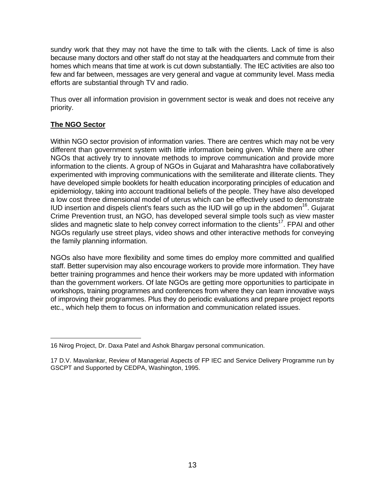sundry work that they may not have the time to talk with the clients. Lack of time is also because many doctors and other staff do not stay at the headquarters and commute from their homes which means that time at work is cut down substantially. The IEC activities are also too few and far between, messages are very general and vague at community level. Mass media efforts are substantial through TV and radio.

Thus over all information provision in government sector is weak and does not receive any priority.

## **The NGO Sector**

Within NGO sector provision of information varies. There are centres which may not be very different than government system with little information being given. While there are other NGOs that actively try to innovate methods to improve communication and provide more information to the clients. A group of NGOs in Gujarat and Maharashtra have collaboratively experimented with improving communications with the semiliterate and illiterate clients. They have developed simple booklets for health education incorporating principles of education and epidemiology, taking into account traditional beliefs of the people. They have also developed a low cost three dimensional model of uterus which can be effectively used to demonstrate IUD insertion and dispels client's fears such as the IUD will go up in the abdomen<sup>16</sup>. Gujarat Crime Prevention trust, an NGO, has developed several simple tools such as view master slides and magnetic slate to help convey correct information to the clients<sup>17</sup>. FPAI and other NGOs regularly use street plays, video shows and other interactive methods for conveying the family planning information.

NGOs also have more flexibility and some times do employ more committed and qualified staff. Better supervision may also encourage workers to provide more information. They have better training programmes and hence their workers may be more updated with information than the government workers. Of late NGOs are getting more opportunities to participate in workshops, training programmes and conferences from where they can learn innovative ways of improving their programmes. Plus they do periodic evaluations and prepare project reports etc., which help them to focus on information and communication related issues.

<sup>16</sup> Nirog Project, Dr. Daxa Patel and Ashok Bhargav personal communication.

<sup>17</sup> D.V. Mavalankar, Review of Managerial Aspects of FP IEC and Service Delivery Programme run by GSCPT and Supported by CEDPA, Washington, 1995.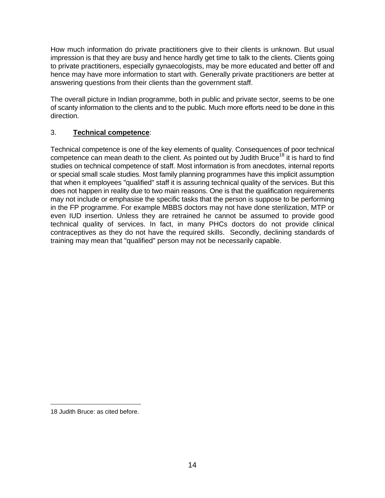How much information do private practitioners give to their clients is unknown. But usual impression is that they are busy and hence hardly get time to talk to the clients. Clients going to private practitioners, especially gynaecologists, may be more educated and better off and hence may have more information to start with. Generally private practitioners are better at answering questions from their clients than the government staff.

The overall picture in Indian programme, both in public and private sector, seems to be one of scanty information to the clients and to the public. Much more efforts need to be done in this direction.

## 3. **Technical competence**:

Technical competence is one of the key elements of quality. Consequences of poor technical competence can mean death to the client. As pointed out by Judith Bruce<sup>18</sup> it is hard to find studies on technical competence of staff. Most information is from anecdotes, internal reports or special small scale studies. Most family planning programmes have this implicit assumption that when it employees "qualified" staff it is assuring technical quality of the services. But this does not happen in reality due to two main reasons. One is that the qualification requirements may not include or emphasise the specific tasks that the person is suppose to be performing in the FP programme. For example MBBS doctors may not have done sterilization, MTP or even IUD insertion. Unless they are retrained he cannot be assumed to provide good technical quality of services. In fact, in many PHCs doctors do not provide clinical contraceptives as they do not have the required skills. Secondly, declining standards of training may mean that "qualified" person may not be necessarily capable.

i

<sup>18</sup> Judith Bruce: as cited before.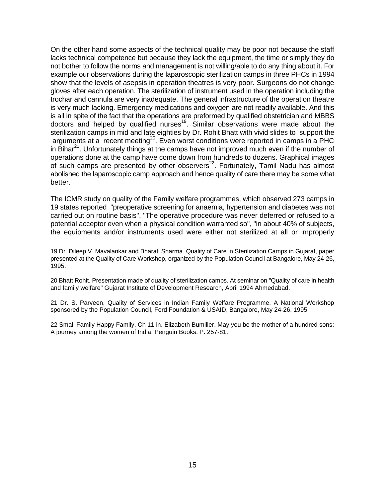On the other hand some aspects of the technical quality may be poor not because the staff lacks technical competence but because they lack the equipment, the time or simply they do not bother to follow the norms and management is not willing/able to do any thing about it. For example our observations during the laparoscopic sterilization camps in three PHCs in 1994 show that the levels of asepsis in operation theatres is very poor. Surgeons do not change gloves after each operation. The sterilization of instrument used in the operation including the trochar and cannula are very inadequate. The general infrastructure of the operation theatre is very much lacking. Emergency medications and oxygen are not readily available. And this is all in spite of the fact that the operations are preformed by qualified obstetrician and MBBS doctors and helped by qualified nurses<sup>19</sup>. Similar observations were made about the sterilization camps in mid and late eighties by Dr. Rohit Bhatt with vivid slides to support the arguments at a recent meeting<sup>20</sup>. Even worst conditions were reported in camps in a PHC in Bihar $^{21}$ . Unfortunately things at the camps have not improved much even if the number of operations done at the camp have come down from hundreds to dozens. Graphical images of such camps are presented by other observers $^{22}$ . Fortunately, Tamil Nadu has almost abolished the laparoscopic camp approach and hence quality of care there may be some what better.

The ICMR study on quality of the Family welfare programmes, which observed 273 camps in 19 states reported "preoperative screening for anaemia, hypertension and diabetes was not carried out on routine basis", "The operative procedure was never deferred or refused to a potential acceptor even when a physical condition warranted so", "in about 40% of subjects, the equipments and/or instruments used were either not sterilized at all or improperly

21 Dr. S. Parveen, Quality of Services in Indian Family Welfare Programme, A National Workshop sponsored by the Population Council, Ford Foundation & USAID, Bangalore, May 24-26, 1995.

22 Small Family Happy Family. Ch 11 in. Elizabeth Bumiller. May you be the mother of a hundred sons: A journey among the women of India. Penguin Books. P. 257-81.

<sup>19</sup> Dr. Dileep V. Mavalankar and Bharati Sharma. Quality of Care in Sterilization Camps in Gujarat, paper presented at the Quality of Care Workshop, organized by the Population Council at Bangalore, May 24-26, 1995.

<sup>20</sup> Bhatt Rohit. Presentation made of quality of sterilization camps. At seminar on "Quality of care in health and family welfare" Gujarat Institute of Development Research, April 1994 Ahmedabad.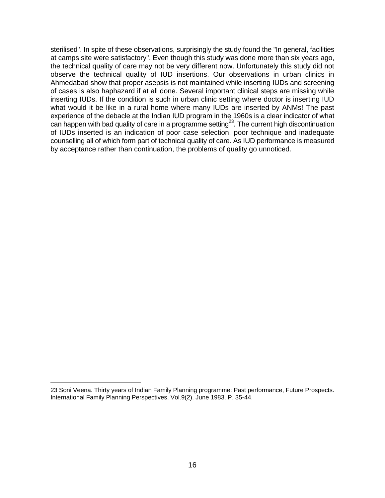sterilised". In spite of these observations, surprisingly the study found the "In general, facilities at camps site were satisfactory". Even though this study was done more than six years ago, the technical quality of care may not be very different now. Unfortunately this study did not observe the technical quality of IUD insertions. Our observations in urban clinics in Ahmedabad show that proper asepsis is not maintained while inserting IUDs and screening of cases is also haphazard if at all done. Several important clinical steps are missing while inserting IUDs. If the condition is such in urban clinic setting where doctor is inserting IUD what would it be like in a rural home where many IUDs are inserted by ANMs! The past experience of the debacle at the Indian IUD program in the 1960s is a clear indicator of what can happen with bad quality of care in a programme setting<sup>23</sup>. The current high discontinuation of IUDs inserted is an indication of poor case selection, poor technique and inadequate counselling all of which form part of technical quality of care. As IUD performance is measured by acceptance rather than continuation, the problems of quality go unnoticed.

<sup>23</sup> Soni Veena. Thirty years of Indian Family Planning programme: Past performance, Future Prospects. International Family Planning Perspectives. Vol.9(2). June 1983. P. 35-44.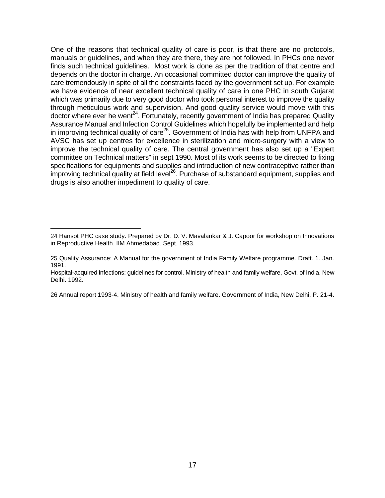One of the reasons that technical quality of care is poor, is that there are no protocols, manuals or guidelines, and when they are there, they are not followed. In PHCs one never finds such technical guidelines. Most work is done as per the tradition of that centre and depends on the doctor in charge. An occasional committed doctor can improve the quality of care tremendously in spite of all the constraints faced by the government set up. For example we have evidence of near excellent technical quality of care in one PHC in south Gujarat which was primarily due to very good doctor who took personal interest to improve the quality through meticulous work and supervision. And good quality service would move with this doctor where ever he went<sup>24</sup>. Fortunately, recently government of India has prepared Quality Assurance Manual and Infection Control Guidelines which hopefully be implemented and help in improving technical quality of care<sup>25</sup>. Government of India has with help from UNFPA and AVSC has set up centres for excellence in sterilization and micro-surgery with a view to improve the technical quality of care. The central government has also set up a "Expert committee on Technical matters" in sept 1990. Most of its work seems to be directed to fixing specifications for equipments and supplies and introduction of new contraceptive rather than improving technical quality at field level<sup>26</sup>. Purchase of substandard equipment, supplies and drugs is also another impediment to quality of care.

i

26 Annual report 1993-4. Ministry of health and family welfare. Government of India, New Delhi. P. 21-4.

<sup>24</sup> Hansot PHC case study. Prepared by Dr. D. V. Mavalankar & J. Capoor for workshop on Innovations in Reproductive Health. IIM Ahmedabad. Sept. 1993.

<sup>25</sup> Quality Assurance: A Manual for the government of India Family Welfare programme. Draft. 1. Jan. 1991.

Hospital-acquired infections: guidelines for control. Ministry of health and family welfare, Govt. of India. New Delhi. 1992.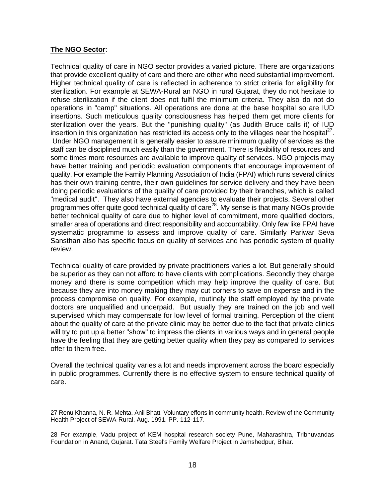#### **The NGO Sector**:

i

Technical quality of care in NGO sector provides a varied picture. There are organizations that provide excellent quality of care and there are other who need substantial improvement. Higher technical quality of care is reflected in adherence to strict criteria for eligibility for sterilization. For example at SEWA-Rural an NGO in rural Gujarat, they do not hesitate to refuse sterilization if the client does not fulfil the minimum criteria. They also do not do operations in "camp" situations. All operations are done at the base hospital so are IUD insertions. Such meticulous quality consciousness has helped them get more clients for sterilization over the years. But the "punishing quality" (as Judith Bruce calls it) of IUD insertion in this organization has restricted its access only to the villages near the hospital $^{27}$ . Under NGO management it is generally easier to assure minimum quality of services as the staff can be disciplined much easily than the government. There is flexibility of resources and some times more resources are available to improve quality of services. NGO projects may have better training and periodic evaluation components that encourage improvement of quality. For example the Family Planning Association of India (FPAI) which runs several clinics has their own training centre, their own guidelines for service delivery and they have been doing periodic evaluations of the quality of care provided by their branches, which is called "medical audit". They also have external agencies to evaluate their projects. Several other programmes offer quite good technical quality of care<sup>28</sup>. My sense is that many NGOs provide better technical quality of care due to higher level of commitment, more qualified doctors, smaller area of operations and direct responsibility and accountability. Only few like FPAI have systematic programme to assess and improve quality of care. Similarly Pariwar Seva Sansthan also has specific focus on quality of services and has periodic system of quality review.

Technical quality of care provided by private practitioners varies a lot. But generally should be superior as they can not afford to have clients with complications. Secondly they charge money and there is some competition which may help improve the quality of care. But because they are into money making they may cut corners to save on expense and in the process compromise on quality. For example, routinely the staff employed by the private doctors are unqualified and underpaid. But usually they are trained on the job and well supervised which may compensate for low level of formal training. Perception of the client about the quality of care at the private clinic may be better due to the fact that private clinics will try to put up a better "show" to impress the clients in various ways and in general people have the feeling that they are getting better quality when they pay as compared to services offer to them free.

Overall the technical quality varies a lot and needs improvement across the board especially in public programmes. Currently there is no effective system to ensure technical quality of care.

<sup>27</sup> Renu Khanna, N. R. Mehta, Anil Bhatt. Voluntary efforts in community health. Review of the Community Health Project of SEWA-Rural. Aug. 1991. PP. 112-117.

<sup>28</sup> For example, Vadu project of KEM hospital research society Pune, Maharashtra, Tribhuvandas Foundation in Anand, Gujarat. Tata Steel's Family Welfare Project in Jamshedpur, Bihar.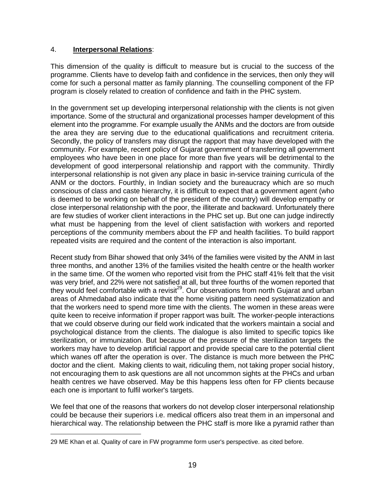## 4. **Interpersonal Relations**:

This dimension of the quality is difficult to measure but is crucial to the success of the programme. Clients have to develop faith and confidence in the services, then only they will come for such a personal matter as family planning. The counselling component of the FP program is closely related to creation of confidence and faith in the PHC system.

In the government set up developing interpersonal relationship with the clients is not given importance. Some of the structural and organizational processes hamper development of this element into the programme. For example usually the ANMs and the doctors are from outside the area they are serving due to the educational qualifications and recruitment criteria. Secondly, the policy of transfers may disrupt the rapport that may have developed with the community. For example, recent policy of Gujarat government of transferring all government employees who have been in one place for more than five years will be detrimental to the development of good interpersonal relationship and rapport with the community. Thirdly interpersonal relationship is not given any place in basic in-service training curricula of the ANM or the doctors. Fourthly, in Indian society and the bureaucracy which are so much conscious of class and caste hierarchy, it is difficult to expect that a government agent (who is deemed to be working on behalf of the president of the country) will develop empathy or close interpersonal relationship with the poor, the illiterate and backward. Unfortunately there are few studies of worker client interactions in the PHC set up. But one can judge indirectly what must be happening from the level of client satisfaction with workers and reported perceptions of the community members about the FP and health facilities. To build rapport repeated visits are required and the content of the interaction is also important.

Recent study from Bihar showed that only 34% of the families were visited by the ANM in last three months, and another 13% of the families visited the health centre or the health worker in the same time. Of the women who reported visit from the PHC staff 41% felt that the visit was very brief, and 22% were not satisfied at all, but three fourths of the women reported that they would feel comfortable with a revisit<sup>29</sup>. Our observations from north Gujarat and urban areas of Ahmedabad also indicate that the home visiting pattern need systematization and that the workers need to spend more time with the clients. The women in these areas were quite keen to receive information if proper rapport was built. The worker-people interactions that we could observe during our field work indicated that the workers maintain a social and psychological distance from the clients. The dialogue is also limited to specific topics like sterilization, or immunization. But because of the pressure of the sterilization targets the workers may have to develop artificial rapport and provide special care to the potential client which wanes off after the operation is over. The distance is much more between the PHC doctor and the client. Making clients to wait, ridiculing them, not taking proper social history, not encouraging them to ask questions are all not uncommon sights at the PHCs and urban health centres we have observed. May be this happens less often for FP clients because each one is important to fulfil worker's targets.

We feel that one of the reasons that workers do not develop closer interpersonal relationship could be because their superiors i.e. medical officers also treat them in an impersonal and hierarchical way. The relationship between the PHC staff is more like a pyramid rather than

i 29 ME Khan et al. Quality of care in FW programme form user's perspective. as cited before.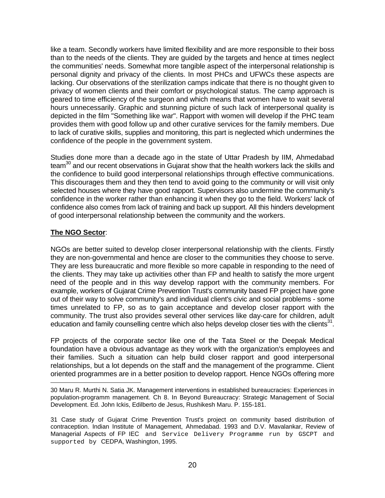like a team. Secondly workers have limited flexibility and are more responsible to their boss than to the needs of the clients. They are guided by the targets and hence at times neglect the communities' needs. Somewhat more tangible aspect of the interpersonal relationship is personal dignity and privacy of the clients. In most PHCs and UFWCs these aspects are lacking. Our observations of the sterilization camps indicate that there is no thought given to privacy of women clients and their comfort or psychological status. The camp approach is geared to time efficiency of the surgeon and which means that women have to wait several hours unnecessarily. Graphic and stunning picture of such lack of interpersonal quality is depicted in the film "Something like war". Rapport with women will develop if the PHC team provides them with good follow up and other curative services for the family members. Due to lack of curative skills, supplies and monitoring, this part is neglected which undermines the confidence of the people in the government system.

Studies done more than a decade ago in the state of Uttar Pradesh by IIM, Ahmedabad team<sup>30</sup> and our recent observations in Gujarat show that the health workers lack the skills and the confidence to build good interpersonal relationships through effective communications. This discourages them and they then tend to avoid going to the community or will visit only selected houses where they have good rapport. Supervisors also undermine the community's confidence in the worker rather than enhancing it when they go to the field. Workers' lack of confidence also comes from lack of training and back up support. All this hinders development of good interpersonal relationship between the community and the workers.

## **The NGO Sector**:

NGOs are better suited to develop closer interpersonal relationship with the clients. Firstly they are non-governmental and hence are closer to the communities they choose to serve. They are less bureaucratic and more flexible so more capable in responding to the need of the clients. They may take up activities other than FP and health to satisfy the more urgent need of the people and in this way develop rapport with the community members. For example, workers of Gujarat Crime Prevention Trust's community based FP project have gone out of their way to solve community's and individual client's civic and social problems - some times unrelated to FP, so as to gain acceptance and develop closer rapport with the community. The trust also provides several other services like day-care for children, adult education and family counselling centre which also helps develop closer ties with the clients<sup>31</sup>.

FP projects of the corporate sector like one of the Tata Steel or the Deepak Medical foundation have a obvious advantage as they work with the organization's employees and their families. Such a situation can help build closer rapport and good interpersonal relationships, but a lot depends on the staff and the management of the programme. Client oriented programmes are in a better position to develop rapport. Hence NGOs offering more

i 30 Maru R. Murthi N. Satia JK. Management interventions in established bureaucracies: Experiences in population-programm management. Ch 8. In Beyond Bureaucracy: Strategic Management of Social Development. Ed. John Ickis, Edilberto de Jesus, Rushikesh Maru. P. 155-181.

<sup>31</sup> Case study of Gujarat Crime Prevention Trust's project on community based distribution of contraception. Indian Institute of Management, Ahmedabad. 1993 and D.V. Mavalankar, Review of Managerial Aspects of FP IEC and Service Delivery Programme run by GSCPT and supported by CEDPA, Washington, 1995.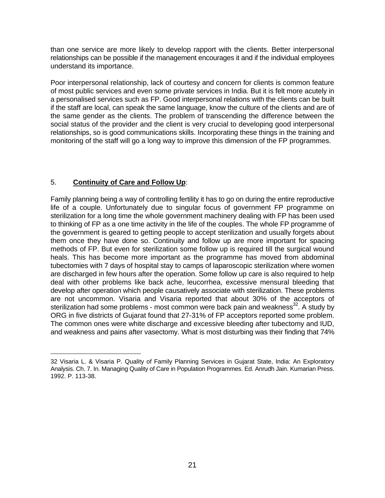than one service are more likely to develop rapport with the clients. Better interpersonal relationships can be possible if the management encourages it and if the individual employees understand its importance.

Poor interpersonal relationship, lack of courtesy and concern for clients is common feature of most public services and even some private services in India. But it is felt more acutely in a personalised services such as FP. Good interpersonal relations with the clients can be built if the staff are local, can speak the same language, know the culture of the clients and are of the same gender as the clients. The problem of transcending the difference between the social status of the provider and the client is very crucial to developing good interpersonal relationships, so is good communications skills. Incorporating these things in the training and monitoring of the staff will go a long way to improve this dimension of the FP programmes.

## 5. **Continuity of Care and Follow Up**:

i

Family planning being a way of controlling fertility it has to go on during the entire reproductive life of a couple. Unfortunately due to singular focus of government FP programme on sterilization for a long time the whole government machinery dealing with FP has been used to thinking of FP as a one time activity in the life of the couples. The whole FP programme of the government is geared to getting people to accept sterilization and usually forgets about them once they have done so. Continuity and follow up are more important for spacing methods of FP. But even for sterilization some follow up is required till the surgical wound heals. This has become more important as the programme has moved from abdominal tubectomies with 7 days of hospital stay to camps of laparoscopic sterilization where women are discharged in few hours after the operation. Some follow up care is also required to help deal with other problems like back ache, leucorrhea, excessive mensural bleeding that develop after operation which people causatively associate with sterilization. These problems are not uncommon. Visaria and Visaria reported that about 30% of the acceptors of sterilization had some problems - most common were back pain and weakness<sup>32</sup>. A study by ORG in five districts of Gujarat found that 27-31% of FP acceptors reported some problem. The common ones were white discharge and excessive bleeding after tubectomy and IUD, and weakness and pains after vasectomy. What is most disturbing was their finding that 74%

<sup>32</sup> Visaria L. & Visaria P. Quality of Family Planning Services in Gujarat State, India: An Exploratory Analysis. Ch. 7. In. Managing Quality of Care in Population Programmes. Ed. Anrudh Jain. Kumarian Press. 1992. P. 113-38.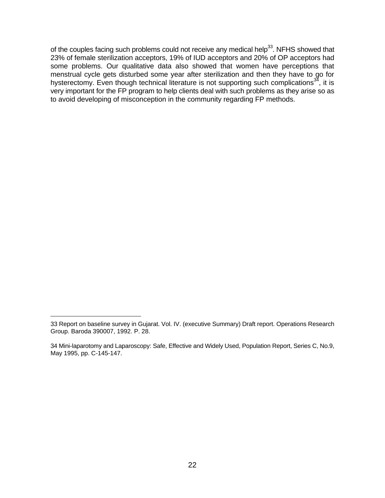of the couples facing such problems could not receive any medical help<sup>33</sup>. NFHS showed that 23% of female sterilization acceptors, 19% of IUD acceptors and 20% of OP acceptors had some problems. Our qualitative data also showed that women have perceptions that menstrual cycle gets disturbed some year after sterilization and then they have to go for hysterectomy. Even though technical literature is not supporting such complications $34$ , it is very important for the FP program to help clients deal with such problems as they arise so as to avoid developing of misconception in the community regarding FP methods.

i

<sup>33</sup> Report on baseline survey in Gujarat. Vol. IV. (executive Summary) Draft report. Operations Research Group. Baroda 390007, 1992. P. 28.

<sup>34</sup> Mini-laparotomy and Laparoscopy: Safe, Effective and Widely Used, Population Report, Series C, No.9, May 1995, pp. C-145-147.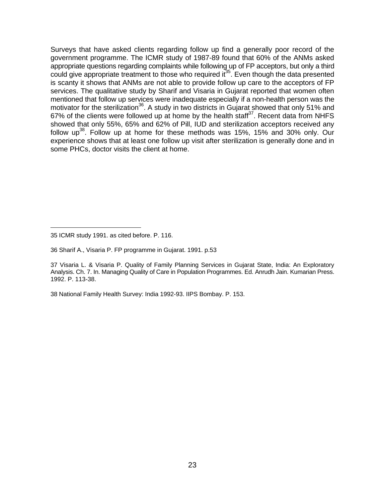Surveys that have asked clients regarding follow up find a generally poor record of the government programme. The ICMR study of 1987-89 found that 60% of the ANMs asked appropriate questions regarding complaints while following up of FP acceptors, but only a third could give appropriate treatment to those who required  $i<sup>35</sup>$ . Even though the data presented is scanty it shows that ANMs are not able to provide follow up care to the acceptors of FP services. The qualitative study by Sharif and Visaria in Gujarat reported that women often mentioned that follow up services were inadequate especially if a non-health person was the motivator for the sterilization<sup>36</sup>. A study in two districts in Gujarat showed that only 51% and 67% of the clients were followed up at home by the health staff $37$ . Recent data from NHFS showed that only 55%, 65% and 62% of Pill, IUD and sterilization acceptors received any follow  $up^{38}$ . Follow up at home for these methods was 15%, 15% and 30% only. Our experience shows that at least one follow up visit after sterilization is generally done and in some PHCs, doctor visits the client at home.

i

38 National Family Health Survey: India 1992-93. IIPS Bombay. P. 153.

<sup>35</sup> ICMR study 1991. as cited before. P. 116.

<sup>36</sup> Sharif A., Visaria P. FP programme in Gujarat. 1991. p.53

<sup>37</sup> Visaria L. & Visaria P. Quality of Family Planning Services in Gujarat State, India: An Exploratory Analysis. Ch. 7. In. Managing Quality of Care in Population Programmes. Ed. Anrudh Jain. Kumarian Press. 1992. P. 113-38.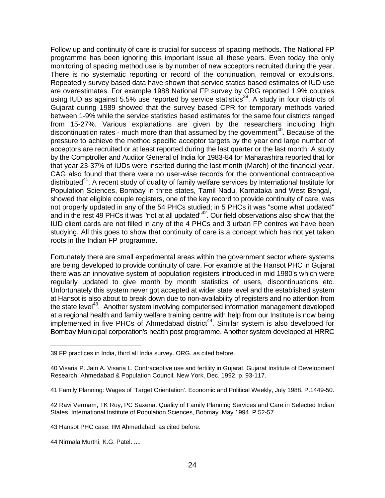Follow up and continuity of care is crucial for success of spacing methods. The National FP programme has been ignoring this important issue all these years. Even today the only monitoring of spacing method use is by number of new acceptors recruited during the year. There is no systematic reporting or record of the continuation, removal or expulsions. Repeatedly survey based data have shown that service statics based estimates of IUD use are overestimates. For example 1988 National FP survey by ORG reported 1.9% couples using IUD as against 5.5% use reported by service statistics<sup>39</sup>. A study in four districts of Gujarat during 1989 showed that the survey based CPR for temporary methods varied between 1-9% while the service statistics based estimates for the same four districts ranged from 15-27%. Various explanations are given by the researchers including high discontinuation rates - much more than that assumed by the government<sup>40</sup>. Because of the pressure to achieve the method specific acceptor targets by the year end large number of acceptors are recruited or at least reported during the last quarter or the last month. A study by the Comptroller and Auditor General of India for 1983-84 for Maharashtra reported that for that year 23-37% of IUDs were inserted during the last month (March) of the financial year. CAG also found that there were no user-wise records for the conventional contraceptive distributed<sup>41</sup>. A recent study of quality of family welfare services by International Institute for Population Sciences, Bombay in three states, Tamil Nadu, Karnataka and West Bengal, showed that eligible couple registers, one of the key record to provide continuity of care, was not properly updated in any of the 54 PHCs studied; in 5 PHCs it was "some what updated" and in the rest 49 PHCs it was "not at all updated"<sup>42</sup>. Our field observations also show that the IUD client cards are not filled in any of the 4 PHCs and 3 urban FP centres we have been studying. All this goes to show that continuity of care is a concept which has not yet taken roots in the Indian FP programme.

Fortunately there are small experimental areas within the government sector where systems are being developed to provide continuity of care. For example at the Hansot PHC in Gujarat there was an innovative system of population registers introduced in mid 1980's which were regularly updated to give month by month statistics of users, discontinuations etc. Unfortunately this system never got accepted at wider state level and the established system at Hansot is also about to break down due to non-availability of registers and no attention from the state level<sup>43</sup>. Another system involving computerised information management developed at a regional health and family welfare training centre with help from our Institute is now being  $implemented$  in five PHCs of Ahmedabad district<sup>44</sup>. Similar system is also developed for Bombay Municipal corporation's health post programme. Another system developed at HRRC

i

<sup>39</sup> FP practices in India, third all India survey. ORG. as cited before.

<sup>40</sup> Visaria P. Jain A. Visaria L. Contraceptive use and fertility in Gujarat. Gujarat Institute of Development Research, Ahmedabad & Population Council, New York. Dec. 1992. p. 93-117.

<sup>41</sup> Family Planning: Wages of 'Target Orientation'. Economic and Political Weekly, July 1988. P.1449-50.

<sup>42</sup> Ravi Vermam, TK Roy, PC Saxena. Quality of Family Planning Services and Care in Selected Indian States. International Institute of Population Sciences, Bobmay. May 1994. P.52-57.

<sup>43</sup> Hansot PHC case. IIM Ahmedabad. as cited before.

<sup>44</sup> Nirmala Murthi, K.G. Patel. ....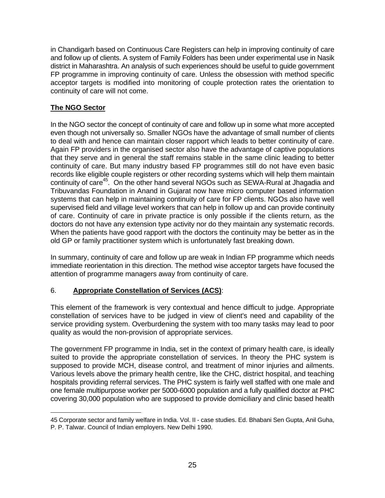in Chandigarh based on Continuous Care Registers can help in improving continuity of care and follow up of clients. A system of Family Folders has been under experimental use in Nasik district in Maharashtra. An analysis of such experiences should be useful to guide government FP programme in improving continuity of care. Unless the obsession with method specific acceptor targets is modified into monitoring of couple protection rates the orientation to continuity of care will not come.

## **The NGO Sector**

In the NGO sector the concept of continuity of care and follow up in some what more accepted even though not universally so. Smaller NGOs have the advantage of small number of clients to deal with and hence can maintain closer rapport which leads to better continuity of care. Again FP providers in the organised sector also have the advantage of captive populations that they serve and in general the staff remains stable in the same clinic leading to better continuity of care. But many industry based FP programmes still do not have even basic records like eligible couple registers or other recording systems which will help them maintain continuity of care<sup>45</sup>. On the other hand several NGOs such as SEWA-Rural at Jhagadia and Tribuvandas Foundation in Anand in Gujarat now have micro computer based information systems that can help in maintaining continuity of care for FP clients. NGOs also have well supervised field and village level workers that can help in follow up and can provide continuity of care. Continuity of care in private practice is only possible if the clients return, as the doctors do not have any extension type activity nor do they maintain any systematic records. When the patients have good rapport with the doctors the continuity may be better as in the old GP or family practitioner system which is unfortunately fast breaking down.

In summary, continuity of care and follow up are weak in Indian FP programme which needs immediate reorientation in this direction. The method wise acceptor targets have focused the attention of programme managers away from continuity of care.

## 6. **Appropriate Constellation of Services (ACS)**:

This element of the framework is very contextual and hence difficult to judge. Appropriate constellation of services have to be judged in view of client's need and capability of the service providing system. Overburdening the system with too many tasks may lead to poor quality as would the non-provision of appropriate services.

The government FP programme in India, set in the context of primary health care, is ideally suited to provide the appropriate constellation of services. In theory the PHC system is supposed to provide MCH, disease control, and treatment of minor injuries and ailments. Various levels above the primary health centre, like the CHC, district hospital, and teaching hospitals providing referral services. The PHC system is fairly well staffed with one male and one female multipurpose worker per 5000-6000 population and a fully qualified doctor at PHC covering 30,000 population who are supposed to provide domiciliary and clinic based health

i 45 Corporate sector and family welfare in India. Vol. II - case studies. Ed. Bhabani Sen Gupta, Anil Guha, P. P. Talwar. Council of Indian employers. New Delhi 1990.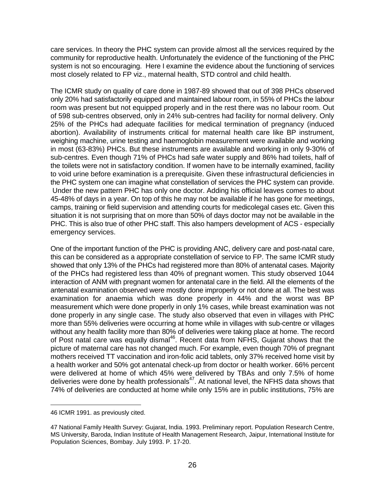care services. In theory the PHC system can provide almost all the services required by the community for reproductive health. Unfortunately the evidence of the functioning of the PHC system is not so encouraging. Here I examine the evidence about the functioning of services most closely related to FP viz., maternal health, STD control and child health.

The ICMR study on quality of care done in 1987-89 showed that out of 398 PHCs observed only 20% had satisfactorily equipped and maintained labour room, in 55% of PHCs the labour room was present but not equipped properly and in the rest there was no labour room. Out of 598 sub-centres observed, only in 24% sub-centres had facility for normal delivery. Only 25% of the PHCs had adequate facilities for medical termination of pregnancy (induced abortion). Availability of instruments critical for maternal health care like BP instrument, weighing machine, urine testing and haemoglobin measurement were available and working in most (63-83%) PHCs. But these instruments are available and working in only 9-30% of sub-centres. Even though 71% of PHCs had safe water supply and 86% had toilets, half of the toilets were not in satisfactory condition. If women have to be internally examined, facility to void urine before examination is a prerequisite. Given these infrastructural deficiencies in the PHC system one can imagine what constellation of services the PHC system can provide. Under the new pattern PHC has only one doctor. Adding his official leaves comes to about 45-48% of days in a year. On top of this he may not be available if he has gone for meetings, camps, training or field supervision and attending courts for medicolegal cases etc. Given this situation it is not surprising that on more than 50% of days doctor may not be available in the PHC. This is also true of other PHC staff. This also hampers development of ACS - especially emergency services.

One of the important function of the PHC is providing ANC, delivery care and post-natal care, this can be considered as a appropriate constellation of service to FP. The same ICMR study showed that only 13% of the PHCs had registered more than 80% of antenatal cases. Majority of the PHCs had registered less than 40% of pregnant women. This study observed 1044 interaction of ANM with pregnant women for antenatal care in the field. All the elements of the antenatal examination observed were mostly done improperly or not done at all. The best was examination for anaemia which was done properly in 44% and the worst was BP measurement which were done properly in only 1% cases, while breast examination was not done properly in any single case. The study also observed that even in villages with PHC more than 55% deliveries were occurring at home while in villages with sub-centre or villages without any health facility more than 80% of deliveries were taking place at home. The record of Post natal care was equally dismal<sup>46</sup>. Recent data from NFHS, Gujarat shows that the picture of maternal care has not changed much. For example, even though 70% of pregnant mothers received TT vaccination and iron-folic acid tablets, only 37% received home visit by a health worker and 50% got antenatal check-up from doctor or health worker. 66% percent were delivered at home of which 45% were delivered by TBAs and only 7.5% of home deliveries were done by health professionals<sup>47</sup>. At national level, the NFHS data shows that 74% of deliveries are conducted at home while only 15% are in public institutions, 75% are

i

<sup>46</sup> ICMR 1991. as previously cited.

<sup>47</sup> National Family Health Survey: Gujarat, India. 1993. Preliminary report. Population Research Centre, MS University, Baroda, Indian Institute of Health Management Research, Jaipur, International Institute for Population Sciences, Bombay. July 1993. P. 17-20.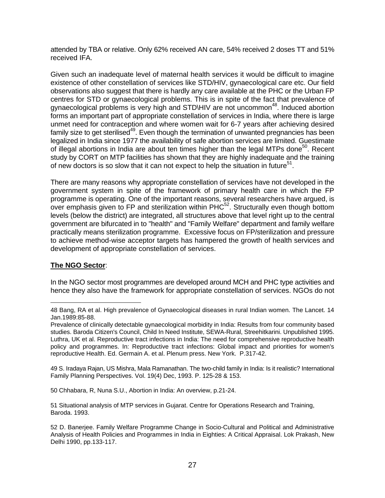attended by TBA or relative. Only 62% received AN care, 54% received 2 doses TT and 51% received IFA.

Given such an inadequate level of maternal health services it would be difficult to imagine existence of other constellation of services like STD/HIV, gynaecological care etc. Our field observations also suggest that there is hardly any care available at the PHC or the Urban FP centres for STD or gynaecological problems. This is in spite of the fact that prevalence of gynaecological problems is very high and STD\HIV are not uncommon<sup>48</sup>. Induced abortion forms an important part of appropriate constellation of services in India, where there is large unmet need for contraception and where women wait for 6-7 years after achieving desired family size to get sterilised<sup>49</sup>. Even though the termination of unwanted pregnancies has been legalized in India since 1977 the availability of safe abortion services are limited. Guestimate of illegal abortions in India are about ten times higher than the legal MTPs done<sup>50</sup>. Recent study by CORT on MTP facilities has shown that they are highly inadequate and the training of new doctors is so slow that it can not expect to help the situation in future<sup>51</sup>.

There are many reasons why appropriate constellation of services have not developed in the government system in spite of the framework of primary health care in which the FP programme is operating. One of the important reasons, several researchers have argued, is over emphasis given to FP and sterilization within  $PHC<sup>52</sup>$ . Structurally even though bottom levels (below the district) are integrated, all structures above that level right up to the central government are bifurcated in to "health" and "Family Welfare" department and family welfare practically means sterilization programme. Excessive focus on FP/sterilization and pressure to achieve method-wise acceptor targets has hampered the growth of health services and development of appropriate constellation of services.

## **The NGO Sector**:

In the NGO sector most programmes are developed around MCH and PHC type activities and hence they also have the framework for appropriate constellation of services. NGOs do not

49 S. Iradaya Rajan, US Mishra, Mala Ramanathan. The two-child family in India: Is it realistic? International Family Planning Perspectives. Vol. 19(4) Dec, 1993. P. 125-28 & 153.

50 Chhabara, R, Nuna S.U., Abortion in India: An overview, p.21-24.

51 Situational analysis of MTP services in Gujarat. Centre for Operations Research and Training, Baroda. 1993.

i 48 Bang, RA et al. High prevalence of Gynaecological diseases in rural Indian women. The Lancet. 14 Jan.1989:85-88.

Prevalence of clinically detectable gynaecological morbidity in India: Results from four community based studies. Baroda Citizen's Council, Child In Need Institute, SEWA-Rural, Streehitkarini. Unpublished 1995. Luthra, UK et al. Reproductive tract infections in India: The need for comprehensive reproductive health policy and programmes. In: Reproductive tract infections: Global impact and priorities for women's reproductive Health. Ed. Germain A. et al. Plenum press. New York. P.317-42.

<sup>52</sup> D. Banerjee. Family Welfare Programme Change in Socio-Cultural and Political and Administrative Analysis of Health Policies and Programmes in India in Eighties: A Critical Appraisal. Lok Prakash, New Delhi 1990, pp.133-117.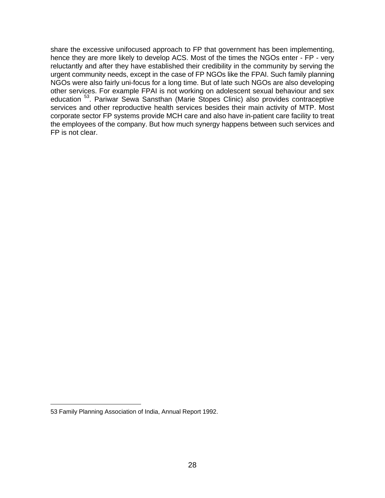share the excessive unifocused approach to FP that government has been implementing, hence they are more likely to develop ACS. Most of the times the NGOs enter - FP - very reluctantly and after they have established their credibility in the community by serving the urgent community needs, except in the case of FP NGOs like the FPAI. Such family planning NGOs were also fairly uni-focus for a long time. But of late such NGOs are also developing other services. For example FPAI is not working on adolescent sexual behaviour and sex education <sup>53</sup>. Pariwar Sewa Sansthan (Marie Stopes Clinic) also provides contraceptive services and other reproductive health services besides their main activity of MTP. Most corporate sector FP systems provide MCH care and also have in-patient care facility to treat the employees of the company. But how much synergy happens between such services and FP is not clear.

i

<sup>53</sup> Family Planning Association of India, Annual Report 1992.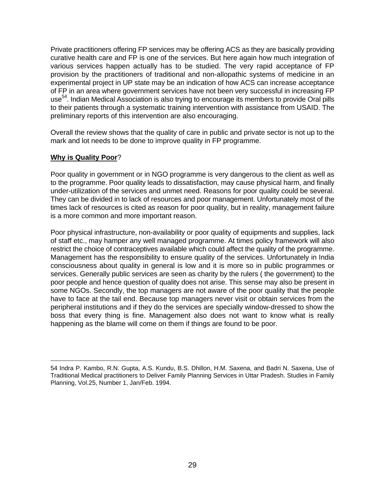Private practitioners offering FP services may be offering ACS as they are basically providing curative health care and FP is one of the services. But here again how much integration of various services happen actually has to be studied. The very rapid acceptance of FP provision by the practitioners of traditional and non-allopathic systems of medicine in an experimental project in UP state may be an indication of how ACS can increase acceptance of FP in an area where government services have not been very successful in increasing FP use<sup>54</sup>. Indian Medical Association is also trying to encourage its members to provide Oral pills to their patients through a systematic training intervention with assistance from USAID. The preliminary reports of this intervention are also encouraging.

Overall the review shows that the quality of care in public and private sector is not up to the mark and lot needs to be done to improve quality in FP programme.

## **Why is Quality Poor**?

Poor quality in government or in NGO programme is very dangerous to the client as well as to the programme. Poor quality leads to dissatisfaction, may cause physical harm, and finally under-utilization of the services and unmet need. Reasons for poor quality could be several. They can be divided in to lack of resources and poor management. Unfortunately most of the times lack of resources is cited as reason for poor quality, but in reality, management failure is a more common and more important reason.

Poor physical infrastructure, non-availability or poor quality of equipments and supplies, lack of staff etc., may hamper any well managed programme. At times policy framework will also restrict the choice of contraceptives available which could affect the quality of the programme. Management has the responsibility to ensure quality of the services. Unfortunately in India consciousness about quality in general is low and it is more so in public programmes or services. Generally public services are seen as charity by the rulers ( the government) to the poor people and hence question of quality does not arise. This sense may also be present in some NGOs. Secondly, the top managers are not aware of the poor quality that the people have to face at the tail end. Because top managers never visit or obtain services from the peripheral institutions and if they do the services are specially window-dressed to show the boss that every thing is fine. Management also does not want to know what is really happening as the blame will come on them if things are found to be poor.

<sup>54</sup> Indra P. Kambo, R.N. Gupta, A.S. Kundu, B.S. Dhillon, H.M. Saxena, and Badri N. Saxena, Use of Traditional Medical practitioners to Deliver Family Planning Services in Uttar Pradesh. Studies in Family Planning, Vol.25, Number 1, Jan/Feb. 1994.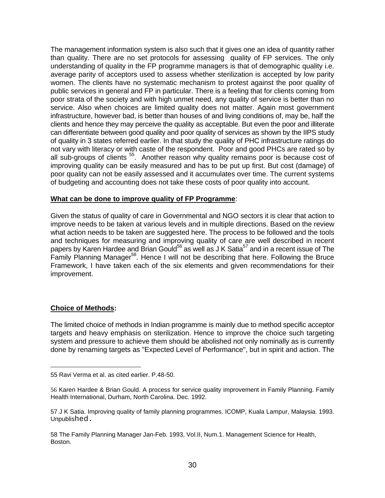The management information system is also such that it gives one an idea of quantity rather than quality. There are no set protocols for assessing quality of FP services. The only understanding of quality in the FP programme managers is that of demographic quality i.e. average parity of acceptors used to assess whether sterilization is accepted by low parity women. The clients have no systematic mechanism to protest against the poor quality of public services in general and FP in particular. There is a feeling that for clients coming from poor strata of the society and with high unmet need, any quality of service is better than no service. Also when choices are limited quality does not matter. Again most government infrastructure, however bad, is better than houses of and living conditions of, may be, half the clients and hence they may perceive the quality as acceptable. But even the poor and illiterate can differentiate between good quality and poor quality of services as shown by the IIPS study of quality in 3 states referred earlier. In that study the quality of PHC infrastructure ratings do not vary with literacy or with caste of the respondent. Poor and good PHCs are rated so by all sub-groups of clients <sup>55</sup>. Another reason why quality remains poor is because cost of improving quality can be easily measured and has to be put up first. But cost (damage) of poor quality can not be easily assessed and it accumulates over time. The current systems of budgeting and accounting does not take these costs of poor quality into account.

#### **What can be done to improve quality of FP Programme**:

Given the status of quality of care in Governmental and NGO sectors it is clear that action to improve needs to be taken at various levels and in multiple directions. Based on the review what action needs to be taken are suggested here. The process to be followed and the tools and techniques for measuring and improving quality of care are well described in recent papers by Karen Hardee and Brian Gould<sup>56</sup> as well as J K Satia<sup>57</sup> and in a recent issue of The Family Planning Manager<sup>58</sup>. Hence I will not be describing that here. Following the Bruce Framework, I have taken each of the six elements and given recommendations for their improvement.

#### **Choice of Methods:**

i

The limited choice of methods in Indian programme is mainly due to method specific acceptor targets and heavy emphasis on sterilization. Hence to improve the choice such targeting system and pressure to achieve them should be abolished not only nominally as is currently done by renaming targets as "Expected Level of Performance", but in spirit and action. The

<sup>55</sup> Ravi Verma et al. as cited earlier. P.48-50.

<sup>56</sup> Karen Hardee & Brian Gould. A process for service quality improvement in Family Planning. Family Health International, Durham, North Carolina. Dec. 1992.

<sup>57</sup> J K Satia. Improving quality of family planning programmes. ICOMP, Kuala Lampur, Malaysia. 1993. Unpublished.

<sup>58</sup> The Family Planning Manager Jan-Feb. 1993, Vol.II, Num.1. Management Science for Health, Boston.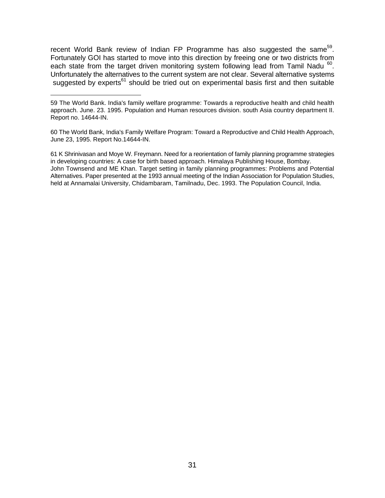recent World Bank review of Indian FP Programme has also suggested the same<sup>59</sup>. Fortunately GOI has started to move into this direction by freeing one or two districts from each state from the target driven monitoring system following lead from Tamil Nadu 60. Unfortunately the alternatives to the current system are not clear. Several alternative systems suggested by experts<sup>61</sup> should be tried out on experimental basis first and then suitable

i

60 The World Bank, India's Family Welfare Program: Toward a Reproductive and Child Health Approach, June 23, 1995. Report No.14644-IN.

61 K Shrinivasan and Moye W. Freymann. Need for a reorientation of family planning programme strategies in developing countries: A case for birth based approach. Himalaya Publishing House, Bombay. John Townsend and ME Khan. Target setting in family planning programmes: Problems and Potential Alternatives. Paper presented at the 1993 annual meeting of the Indian Association for Population Studies, held at Annamalai University, Chidambaram, Tamilnadu, Dec. 1993. The Population Council, India.

<sup>59</sup> The World Bank. India's family welfare programme: Towards a reproductive health and child health approach. June. 23. 1995. Population and Human resources division. south Asia country department II. Report no. 14644-IN.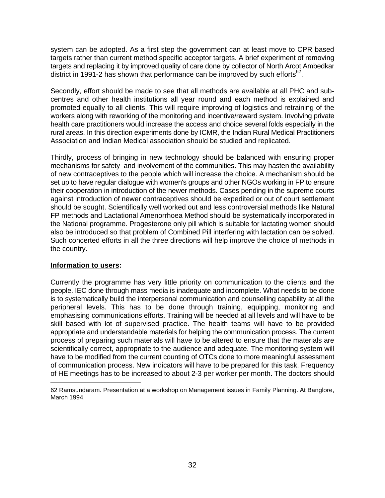system can be adopted. As a first step the government can at least move to CPR based targets rather than current method specific acceptor targets. A brief experiment of removing targets and replacing it by improved quality of care done by collector of North Arcot Ambedkar district in 1991-2 has shown that performance can be improved by such efforts $^{62}$ .

Secondly, effort should be made to see that all methods are available at all PHC and subcentres and other health institutions all year round and each method is explained and promoted equally to all clients. This will require improving of logistics and retraining of the workers along with reworking of the monitoring and incentive/reward system. Involving private health care practitioners would increase the access and choice several folds especially in the rural areas. In this direction experiments done by ICMR, the Indian Rural Medical Practitioners Association and Indian Medical association should be studied and replicated.

Thirdly, process of bringing in new technology should be balanced with ensuring proper mechanisms for safety and involvement of the communities. This may hasten the availability of new contraceptives to the people which will increase the choice. A mechanism should be set up to have regular dialogue with women's groups and other NGOs working in FP to ensure their cooperation in introduction of the newer methods. Cases pending in the supreme courts against introduction of newer contraceptives should be expedited or out of court settlement should be sought. Scientifically well worked out and less controversial methods like Natural FP methods and Lactational Amenorrhoea Method should be systematically incorporated in the National programme. Progesterone only pill which is suitable for lactating women should also be introduced so that problem of Combined Pill interfering with lactation can be solved. Such concerted efforts in all the three directions will help improve the choice of methods in the country.

#### **Information to users:**

Currently the programme has very little priority on communication to the clients and the people. IEC done through mass media is inadequate and incomplete. What needs to be done is to systematically build the interpersonal communication and counselling capability at all the peripheral levels. This has to be done through training, equipping, monitoring and emphasising communications efforts. Training will be needed at all levels and will have to be skill based with lot of supervised practice. The health teams will have to be provided appropriate and understandable materials for helping the communication process. The current process of preparing such materials will have to be altered to ensure that the materials are scientifically correct, appropriate to the audience and adequate. The monitoring system will have to be modified from the current counting of OTCs done to more meaningful assessment of communication process. New indicators will have to be prepared for this task. Frequency of HE meetings has to be increased to about 2-3 per worker per month. The doctors should

<sup>62</sup> Ramsundaram. Presentation at a workshop on Management issues in Family Planning. At Banglore, March 1994.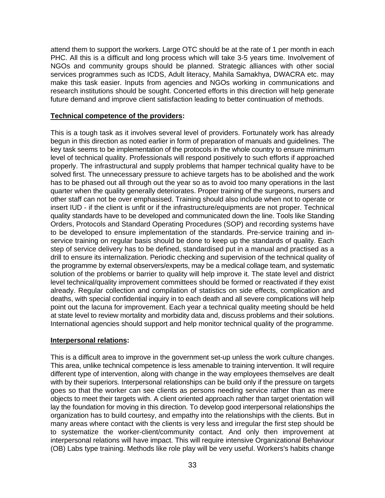attend them to support the workers. Large OTC should be at the rate of 1 per month in each PHC. All this is a difficult and long process which will take 3-5 years time. Involvement of NGOs and community groups should be planned. Strategic alliances with other social services programmes such as ICDS, Adult literacy, Mahila Samakhya, DWACRA etc. may make this task easier. Inputs from agencies and NGOs working in communications and research institutions should be sought. Concerted efforts in this direction will help generate future demand and improve client satisfaction leading to better continuation of methods.

## **Technical competence of the providers:**

This is a tough task as it involves several level of providers. Fortunately work has already begun in this direction as noted earlier in form of preparation of manuals and guidelines. The key task seems to be implementation of the protocols in the whole country to ensure minimum level of technical quality. Professionals will respond positively to such efforts if approached properly. The infrastructural and supply problems that hamper technical quality have to be solved first. The unnecessary pressure to achieve targets has to be abolished and the work has to be phased out all through out the year so as to avoid too many operations in the last quarter when the quality generally deteriorates. Proper training of the surgeons, nursers and other staff can not be over emphasised. Training should also include when not to operate or insert IUD - if the client is unfit or if the infrastructure/equipments are not proper. Technical quality standards have to be developed and communicated down the line. Tools like Standing Orders, Protocols and Standard Operating Procedures (SOP) and recording systems have to be developed to ensure implementation of the standards. Pre-service training and inservice training on regular basis should be done to keep up the standards of quality. Each step of service delivery has to be defined, standardised put in a manual and practised as a drill to ensure its internalization. Periodic checking and supervision of the technical quality of the programme by external observers/experts, may be a medical collage team, and systematic solution of the problems or barrier to quality will help improve it. The state level and district level technical/quality improvement committees should be formed or reactivated if they exist already. Regular collection and compilation of statistics on side effects, complication and deaths, with special confidential inquiry in to each death and all severe complications will help point out the lacuna for improvement. Each year a technical quality meeting should be held at state level to review mortality and morbidity data and, discuss problems and their solutions. International agencies should support and help monitor technical quality of the programme.

#### **Interpersonal relations:**

This is a difficult area to improve in the government set-up unless the work culture changes. This area, unlike technical competence is less amenable to training intervention. It will require different type of intervention, along with change in the way employees themselves are dealt with by their superiors. Interpersonal relationships can be build only if the pressure on targets goes so that the worker can see clients as persons needing service rather than as mere objects to meet their targets with. A client oriented approach rather than target orientation will lay the foundation for moving in this direction. To develop good interpersonal relationships the organization has to build courtesy, and empathy into the relationships with the clients. But in many areas where contact with the clients is very less and irregular the first step should be to systematize the worker-client/community contact. And only then improvement at interpersonal relations will have impact. This will require intensive Organizational Behaviour (OB) Labs type training. Methods like role play will be very useful. Workers's habits change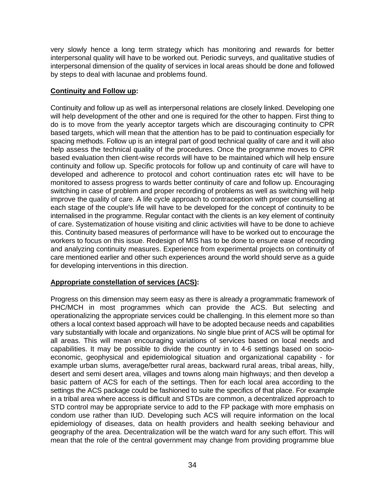very slowly hence a long term strategy which has monitoring and rewards for better interpersonal quality will have to be worked out. Periodic surveys, and qualitative studies of interpersonal dimension of the quality of services in local areas should be done and followed by steps to deal with lacunae and problems found.

## **Continuity and Follow up:**

Continuity and follow up as well as interpersonal relations are closely linked. Developing one will help development of the other and one is required for the other to happen. First thing to do is to move from the yearly acceptor targets which are discouraging continuity to CPR based targets, which will mean that the attention has to be paid to continuation especially for spacing methods. Follow up is an integral part of good technical quality of care and it will also help assess the technical quality of the procedures. Once the programme moves to CPR based evaluation then client-wise records will have to be maintained which will help ensure continuity and follow up. Specific protocols for follow up and continuity of care will have to developed and adherence to protocol and cohort continuation rates etc will have to be monitored to assess progress to wards better continuity of care and follow up. Encouraging switching in case of problem and proper recording of problems as well as switching will help improve the quality of care. A life cycle approach to contraception with proper counselling at each stage of the couple's life will have to be developed for the concept of continuity to be internalised in the programme. Regular contact with the clients is an key element of continuity of care. Systematization of house visiting and clinic activities will have to be done to achieve this. Continuity based measures of performance will have to be worked out to encourage the workers to focus on this issue. Redesign of MIS has to be done to ensure ease of recording and analyzing continuity measures. Experience from experimental projects on continuity of care mentioned earlier and other such experiences around the world should serve as a guide for developing interventions in this direction.

## **Appropriate constellation of services (ACS):**

Progress on this dimension may seem easy as there is already a programmatic framework of PHC/MCH in most programmes which can provide the ACS. But selecting and operationalizing the appropriate services could be challenging. In this element more so than others a local context based approach will have to be adopted because needs and capabilities vary substantially with locale and organizations. No single blue print of ACS will be optimal for all areas. This will mean encouraging variations of services based on local needs and capabilities. It may be possible to divide the country in to 4-6 settings based on socioeconomic, geophysical and epidemiological situation and organizational capability - for example urban slums, average/better rural areas, backward rural areas, tribal areas, hilly, desert and semi desert area, villages and towns along main highways; and then develop a basic pattern of ACS for each of the settings. Then for each local area according to the settings the ACS package could be fashioned to suite the specifics of that place. For example in a tribal area where access is difficult and STDs are common, a decentralized approach to STD control may be appropriate service to add to the FP package with more emphasis on condom use rather than IUD. Developing such ACS will require information on the local epidemiology of diseases, data on health providers and health seeking behaviour and geography of the area. Decentralization will be the watch ward for any such effort. This will mean that the role of the central government may change from providing programme blue